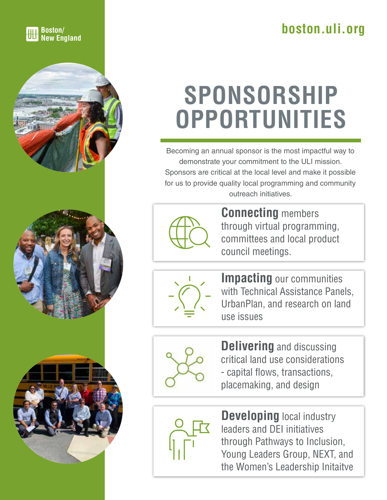### **Boston/ boston.uli.org h**ere **boston.uli.org**

# **SPONSORSHIP OPPORTUNITIES**

Becoming an annual sponsor is the most impactful way to demonstrate your commitment to the ULI mission. Sponsors are critical at the local level and make it possible for us to provide quality local programming and community outreach initiatives.



**Connecting** members through virtual programming, committees and local product council meetings.



**Impacting** our communities with Technical Assistance Panels, UrbanPlan, and research on land use issues



**Delivering** and discussing critical land use considerations - capital flows, transactions, placemaking, and design



**Developing** local industry leaders and DEI initiatives through Pathways to Inclusion, Young Leaders Group, NEXT, and the Women's Leadership Initaitve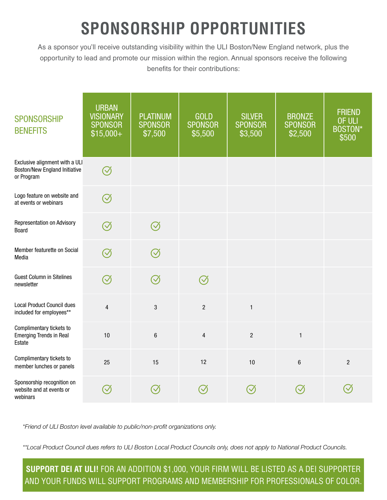### **SPONSORSHIP OPPORTUNITIES**

As a sponsor you'll receive outstanding visibility within the ULI Boston/New England network, plus the opportunity to lead and promote our mission within the region. Annual sponsors receive the following benefits for their contributions:

| <b>SPONSORSHIP</b><br><b>BENEFITS</b>                                                | <b>URBAN</b><br><b>VISIONARY</b><br><b>SPONSOR</b><br>$$15,000+$ | <b>PLATINUM</b><br><b>SPONSOR</b><br>\$7,500 | <b>GOLD</b><br><b>SPONSOR</b><br>\$5,500 | <b>SILVER</b><br><b>SPONSOR</b><br>\$3,500 | <b>BRONZE</b><br><b>SPONSOR</b><br>\$2,500 | <b>FRIEND</b><br>OF ULI<br><b>BOSTON*</b><br>\$500 |
|--------------------------------------------------------------------------------------|------------------------------------------------------------------|----------------------------------------------|------------------------------------------|--------------------------------------------|--------------------------------------------|----------------------------------------------------|
| Exclusive alignment with a ULI<br><b>Boston/New England Initiative</b><br>or Program | $\heartsuit$                                                     |                                              |                                          |                                            |                                            |                                                    |
| Logo feature on website and<br>at events or webinars                                 | $\oslash$                                                        |                                              |                                          |                                            |                                            |                                                    |
| Representation on Advisory<br>Board                                                  | $\oslash$                                                        | $\oslash$                                    |                                          |                                            |                                            |                                                    |
| Member featurette on Social<br>Media                                                 | $\oslash$                                                        | $\oslash$                                    |                                          |                                            |                                            |                                                    |
| <b>Guest Column in Sitelines</b><br>newsletter                                       | $\oslash$                                                        | $\oslash$                                    | $\oslash$                                |                                            |                                            |                                                    |
| <b>Local Product Council dues</b><br>included for employees**                        | $\overline{4}$                                                   | 3                                            | $\overline{2}$                           | $\mathbf{1}$                               |                                            |                                                    |
| Complimentary tickets to<br><b>Emerging Trends in Real</b><br>Estate                 | 10                                                               | $\boldsymbol{6}$                             | $\overline{4}$                           | $\overline{2}$                             | $\mathbf{1}$                               |                                                    |
| Complimentary tickets to<br>member lunches or panels                                 | 25                                                               | 15                                           | 12                                       | 10                                         | $6\phantom{1}$                             | $\overline{2}$                                     |
| Sponsorship recognition on<br>website and at events or<br>webinars                   | $\bigvee$                                                        |                                              |                                          |                                            | $\bigvee$                                  |                                                    |

*\*Friend of ULI Boston level available to public/non-profit organizations only.*

*\*\*Local Product Council dues refers to ULI Boston Local Product Councils only, does not apply to National Product Councils.*

**SUPPORT DEI AT ULI!** FOR AN ADDITION \$1,000, YOUR FIRM WILL BE LISTED AS A DEI SUPPORTER AND YOUR FUNDS WILL SUPPORT PROGRAMS AND MEMBERSHIP FOR PROFESSIONALS OF COLOR.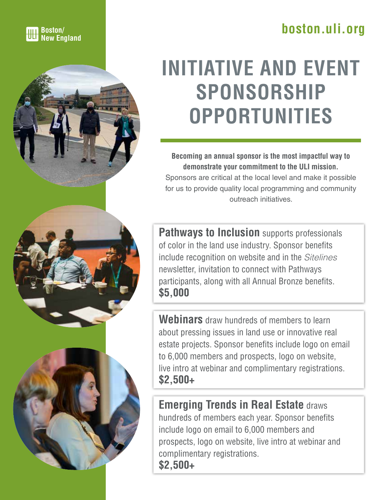### **Boston/ boston.uli.org New England**



### **INITIATIVE AND EVENT SPONSORSHIP OPPORTUNITIES**

**Becoming an annual sponsor is the most impactful way to demonstrate your commitment to the ULI mission.**  Sponsors are critical at the local level and make it possible for us to provide quality local programming and community outreach initiatives.

**Pathways to Inclusion** supports professionals of color in the land use industry. Sponsor benefits include recognition on website and in the *Sitelines* newsletter, invitation to connect with Pathways participants, along with all Annual Bronze benefits. **\$5,000**

**Webinars** draw hundreds of members to learn about pressing issues in land use or innovative real estate projects. Sponsor benefits include logo on email to 6,000 members and prospects, logo on website, live intro at webinar and complimentary registrations. **\$2,500+**

**Emerging Trends in Real Estate** draws hundreds of members each year. Sponsor benefits include logo on email to 6,000 members and prospects, logo on website, live intro at webinar and complimentary registrations. **\$2,500+**